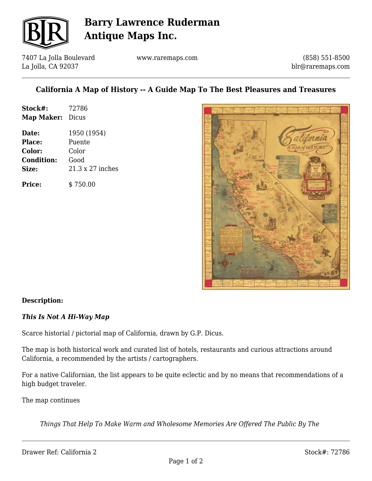

## **Barry Lawrence Ruderman Antique Maps Inc.**

7407 La Jolla Boulevard La Jolla, CA 92037

www.raremaps.com

(858) 551-8500 blr@raremaps.com

### **California A Map of History -- A Guide Map To The Best Pleasures and Treasures**

| Stock#:    | 72786 |
|------------|-------|
| Map Maker: | Dicus |

**Date:** 1950 (1954) **Place:** Puente **Color:** Color **Condition:** Good **Size:** 21.3 x 27 inches

**Price:** \$ 750.00



### **Description:**

### *This Is Not A Hi-Way Map*

Scarce historial / pictorial map of California, drawn by G.P. Dicus.

The map is both historical work and curated list of hotels, restaurants and curious attractions around California, a recommended by the artists / cartographers.

For a native Californian, the list appears to be quite eclectic and by no means that recommendations of a high budget traveler.

The map continues

*Things That Help To Make Warm and Wholesome Memories Are Offered The Public By The*